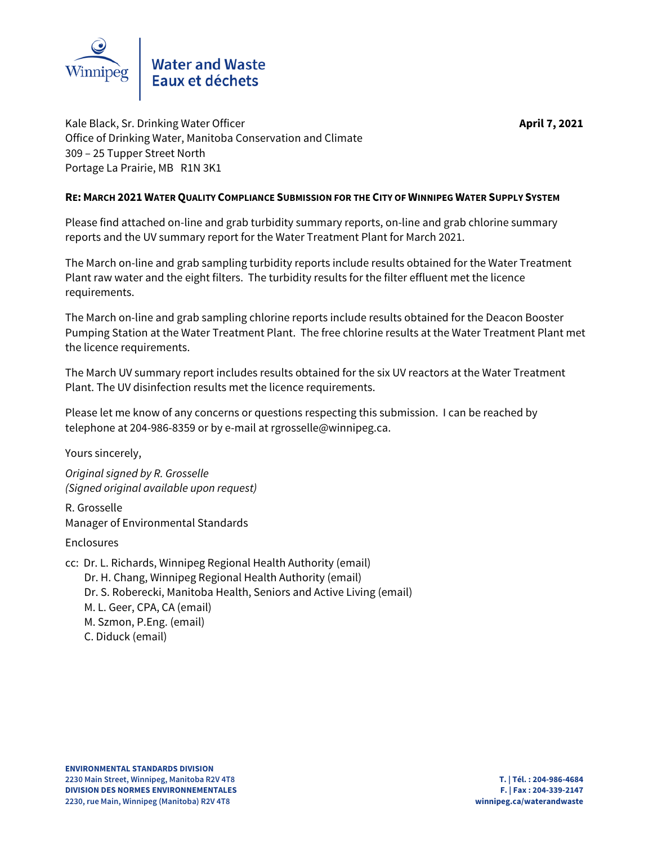

Kale Black, Sr. Drinking Water Officer **April 7, 2021** Office of Drinking Water, Manitoba Conservation and Climate 309 – 25 Tupper Street North Portage La Prairie, MB R1N 3K1

## **RE: MARCH 2021 WATER QUALITY COMPLIANCE SUBMISSION FOR THE CITY OF WINNIPEG WATER SUPPLY SYSTEM**

Please find attached on-line and grab turbidity summary reports, on-line and grab chlorine summary reports and the UV summary report for the Water Treatment Plant for March 2021.

The March on-line and grab sampling turbidity reports include results obtained for the Water Treatment Plant raw water and the eight filters. The turbidity results for the filter effluent met the licence requirements.

The March on-line and grab sampling chlorine reports include results obtained for the Deacon Booster Pumping Station at the Water Treatment Plant. The free chlorine results at the Water Treatment Plant met the licence requirements.

The March UV summary report includes results obtained for the six UV reactors at the Water Treatment Plant. The UV disinfection results met the licence requirements.

Please let me know of any concerns or questions respecting this submission. I can be reached by telephone at 204-986-8359 or by e-mail at rgrosselle@winnipeg.ca.

Yours sincerely,

Original signed by R. Grosselle (Signed original available upon request)

R. Grosselle Manager of Environmental Standards

Enclosures

cc: Dr. L. Richards, Winnipeg Regional Health Authority (email) Dr. H. Chang, Winnipeg Regional Health Authority (email) Dr. S. Roberecki, Manitoba Health, Seniors and Active Living (email) M. L. Geer, CPA, CA (email) M. Szmon, P.Eng. (email) C. Diduck (email)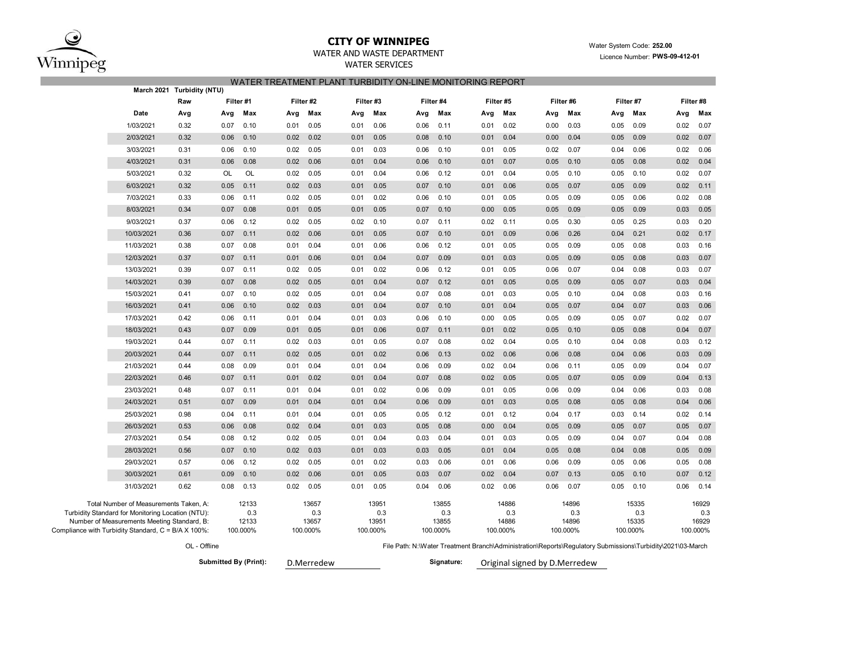

## **CITY OF WINNIPEG**

## WATER AND WASTE DEPARTMENT

WATER SERVICES

### Water System Code: **252.00** Licence Number: **PWS-09-412-01**

### WATER TREATMENT PLANT TURBIDITY ON-LINE MONITORING REPORT

|                                                     | March 2021 Turbidity (NTU) |      |           |      |            |      |          |      |            |           |          |          |                               |      |           |                                                                                                            |           |  |  |  |
|-----------------------------------------------------|----------------------------|------|-----------|------|------------|------|----------|------|------------|-----------|----------|----------|-------------------------------|------|-----------|------------------------------------------------------------------------------------------------------------|-----------|--|--|--|
|                                                     | Raw                        |      | Filter #1 |      | Filter #2  |      | Filter#3 |      | Filter #4  | Filter #5 |          | Filter#6 |                               |      | Filter #7 |                                                                                                            | Filter #8 |  |  |  |
| Date                                                | Avg                        | Avg  | Max       | Avg  | Max        | Avg  | Max      | Avg  | Max        | Avg       | Max      | Avg      | Max                           | Avg  | Max       | Avg                                                                                                        | Max       |  |  |  |
| 1/03/2021                                           | 0.32                       | 0.07 | 0.10      | 0.01 | 0.05       | 0.01 | 0.06     | 0.06 | 0.11       | 0.01      | 0.02     | 0.00     | 0.03                          | 0.05 | 0.09      | 0.02                                                                                                       | 0.07      |  |  |  |
| 2/03/2021                                           | 0.32                       | 0.06 | 0.10      | 0.02 | 0.02       | 0.01 | 0.05     | 0.08 | 0.10       | 0.01      | 0.04     | 0.00     | 0.04                          | 0.05 | 0.09      | 0.02                                                                                                       | 0.07      |  |  |  |
| 3/03/2021                                           | 0.31                       | 0.06 | 0.10      | 0.02 | 0.05       | 0.01 | 0.03     | 0.06 | 0.10       | 0.01      | 0.05     | 0.02     | 0.07                          | 0.04 | 0.06      | 0.02                                                                                                       | 0.06      |  |  |  |
| 4/03/2021                                           | 0.31                       | 0.06 | 0.08      | 0.02 | 0.06       | 0.01 | 0.04     | 0.06 | 0.10       | 0.01      | 0.07     | 0.05     | 0.10                          | 0.05 | 0.08      | 0.02                                                                                                       | 0.04      |  |  |  |
| 5/03/2021                                           | 0.32                       | OL   | OL        | 0.02 | 0.05       | 0.01 | 0.04     | 0.06 | 0.12       | 0.01      | 0.04     | 0.05     | 0.10                          | 0.05 | 0.10      | 0.02                                                                                                       | 0.07      |  |  |  |
| 6/03/2021                                           | 0.32                       | 0.05 | 0.11      | 0.02 | 0.03       | 0.01 | 0.05     | 0.07 | 0.10       | 0.01      | 0.06     | 0.05     | 0.07                          | 0.05 | 0.09      | 0.02                                                                                                       | 0.11      |  |  |  |
| 7/03/2021                                           | 0.33                       | 0.06 | 0.11      | 0.02 | 0.05       | 0.01 | 0.02     | 0.06 | 0.10       | 0.01      | 0.05     | 0.05     | 0.09                          | 0.05 | 0.06      | 0.02                                                                                                       | 0.08      |  |  |  |
| 8/03/2021                                           | 0.34                       | 0.07 | 0.08      | 0.01 | 0.05       | 0.01 | 0.05     | 0.07 | 0.10       | 0.00      | 0.05     | 0.05     | 0.09                          | 0.05 | 0.09      | 0.03                                                                                                       | 0.05      |  |  |  |
| 9/03/2021                                           | 0.37                       | 0.06 | 0.12      | 0.02 | 0.05       | 0.02 | 0.10     | 0.07 | 0.11       | 0.02      | 0.11     | 0.05     | 0.30                          | 0.05 | 0.25      | 0.03                                                                                                       | 0.20      |  |  |  |
| 10/03/2021                                          | 0.36                       | 0.07 | 0.11      | 0.02 | 0.06       | 0.01 | 0.05     | 0.07 | 0.10       | 0.01      | 0.09     | 0.06     | 0.26                          | 0.04 | 0.21      | 0.02                                                                                                       | 0.17      |  |  |  |
| 11/03/2021                                          | 0.38                       | 0.07 | 0.08      | 0.01 | 0.04       | 0.01 | 0.06     | 0.06 | 0.12       | 0.01      | 0.05     | 0.05     | 0.09                          | 0.05 | 0.08      | 0.03                                                                                                       | 0.16      |  |  |  |
| 12/03/2021                                          | 0.37                       | 0.07 | 0.11      | 0.01 | 0.06       | 0.01 | 0.04     | 0.07 | 0.09       | 0.01      | 0.03     | 0.05     | 0.09                          | 0.05 | 0.08      | 0.03                                                                                                       | 0.07      |  |  |  |
| 13/03/2021                                          | 0.39                       | 0.07 | 0.11      | 0.02 | 0.05       | 0.01 | 0.02     | 0.06 | 0.12       | 0.01      | 0.05     | 0.06     | 0.07                          | 0.04 | 0.08      | 0.03                                                                                                       | 0.07      |  |  |  |
| 14/03/2021                                          | 0.39                       | 0.07 | 0.08      | 0.02 | 0.05       | 0.01 | 0.04     | 0.07 | 0.12       | 0.01      | 0.05     | 0.05     | 0.09                          | 0.05 | 0.07      | 0.03                                                                                                       | 0.04      |  |  |  |
| 15/03/2021                                          | 0.41                       | 0.07 | 0.10      | 0.02 | 0.05       | 0.01 | 0.04     | 0.07 | 0.08       | 0.01      | 0.03     | 0.05     | 0.10                          | 0.04 | 0.08      | 0.03                                                                                                       | 0.16      |  |  |  |
| 16/03/2021                                          | 0.41                       | 0.06 | 0.10      | 0.02 | 0.03       | 0.01 | 0.04     | 0.07 | 0.10       | 0.01      | 0.04     | 0.05     | 0.07                          | 0.04 | 0.07      | 0.03                                                                                                       | 0.06      |  |  |  |
| 17/03/2021                                          | 0.42                       | 0.06 | 0.11      | 0.01 | 0.04       | 0.01 | 0.03     | 0.06 | 0.10       | 0.00      | 0.05     | 0.05     | 0.09                          | 0.05 | 0.07      | 0.02                                                                                                       | 0.07      |  |  |  |
| 18/03/2021                                          | 0.43                       | 0.07 | 0.09      | 0.01 | 0.05       | 0.01 | 0.06     | 0.07 | 0.11       | 0.01      | 0.02     | 0.05     | 0.10                          | 0.05 | 0.08      | 0.04                                                                                                       | 0.07      |  |  |  |
| 19/03/2021                                          | 0.44                       | 0.07 | 0.11      | 0.02 | 0.03       | 0.01 | 0.05     | 0.07 | 0.08       | 0.02      | 0.04     | 0.05     | 0.10                          | 0.04 | 0.08      | 0.03                                                                                                       | 0.12      |  |  |  |
| 20/03/2021                                          | 0.44                       | 0.07 | 0.11      | 0.02 | 0.05       | 0.01 | 0.02     | 0.06 | 0.13       | 0.02      | 0.06     | 0.06     | 0.08                          | 0.04 | 0.06      | 0.03                                                                                                       | 0.09      |  |  |  |
| 21/03/2021                                          | 0.44                       | 0.08 | 0.09      | 0.01 | 0.04       | 0.01 | 0.04     | 0.06 | 0.09       | 0.02      | 0.04     | 0.06     | 0.11                          | 0.05 | 0.09      | 0.04                                                                                                       | 0.07      |  |  |  |
| 22/03/2021                                          | 0.46                       | 0.07 | 0.11      | 0.01 | 0.02       | 0.01 | 0.04     | 0.07 | 0.08       | 0.02      | 0.05     | 0.05     | 0.07                          | 0.05 | 0.09      | 0.04                                                                                                       | 0.13      |  |  |  |
| 23/03/2021                                          | 0.48                       | 0.07 | 0.11      | 0.01 | 0.04       | 0.01 | 0.02     | 0.06 | 0.09       | 0.01      | 0.05     | 0.06     | 0.09                          | 0.04 | 0.06      | 0.03                                                                                                       | 0.08      |  |  |  |
| 24/03/2021                                          | 0.51                       | 0.07 | 0.09      | 0.01 | 0.04       | 0.01 | 0.04     | 0.06 | 0.09       | 0.01      | 0.03     | 0.05     | 0.08                          | 0.05 | 0.08      | 0.04                                                                                                       | 0.06      |  |  |  |
| 25/03/2021                                          | 0.98                       | 0.04 | 0.11      | 0.01 | 0.04       | 0.01 | 0.05     | 0.05 | 0.12       | 0.01      | 0.12     | 0.04     | 0.17                          | 0.03 | 0.14      | 0.02                                                                                                       | 0.14      |  |  |  |
| 26/03/2021                                          | 0.53                       | 0.06 | 0.08      | 0.02 | 0.04       | 0.01 | 0.03     | 0.05 | 0.08       | 0.00      | 0.04     | 0.05     | 0.09                          | 0.05 | 0.07      | 0.05                                                                                                       | 0.07      |  |  |  |
| 27/03/2021                                          | 0.54                       | 0.08 | 0.12      | 0.02 | 0.05       | 0.01 | 0.04     | 0.03 | 0.04       | 0.01      | 0.03     | 0.05     | 0.09                          | 0.04 | 0.07      | 0.04                                                                                                       | 0.08      |  |  |  |
| 28/03/2021                                          | 0.56                       | 0.07 | 0.10      | 0.02 | 0.03       | 0.01 | 0.03     | 0.03 | 0.05       | 0.01      | 0.04     | 0.05     | 0.08                          | 0.04 | 0.08      | 0.05                                                                                                       | 0.09      |  |  |  |
| 29/03/2021                                          | 0.57                       | 0.06 | 0.12      | 0.02 | 0.05       | 0.01 | 0.02     | 0.03 | 0.06       | 0.01      | 0.06     | 0.06     | 0.09                          | 0.05 | 0.06      | 0.05                                                                                                       | 0.08      |  |  |  |
| 30/03/2021                                          | 0.61                       | 0.09 | 0.10      | 0.02 | 0.06       | 0.01 | 0.05     | 0.03 | 0.07       | 0.02      | 0.04     | 0.07     | 0.13                          | 0.05 | 0.10      | 0.07                                                                                                       | 0.12      |  |  |  |
| 31/03/2021                                          | 0.62                       | 0.08 | 0.13      | 0.02 | 0.05       | 0.01 | 0.05     | 0.04 | 0.06       | 0.02      | 0.06     | 0.06     | 0.07                          | 0.05 | 0.10      | 0.06                                                                                                       | 0.14      |  |  |  |
| Total Number of Measurements Taken, A:              |                            |      | 12133     |      | 13657      |      | 13951    |      | 13855      |           | 14886    |          | 14896                         |      | 15335     |                                                                                                            | 16929     |  |  |  |
| Turbidity Standard for Monitoring Location (NTU):   |                            |      | 0.3       |      | 0.3        |      | 0.3      |      | 0.3        |           | 0.3      |          | 0.3                           |      | 0.3       |                                                                                                            | 0.3       |  |  |  |
| Number of Measurements Meeting Standard, B:         |                            |      | 12133     |      | 13657      |      | 13951    |      | 13855      |           | 14886    |          | 14896                         |      | 15335     |                                                                                                            | 16929     |  |  |  |
| Compliance with Turbidity Standard, C = B/A X 100%: |                            |      | 100.000%  |      | 100.000%   |      | 100.000% |      | 100.000%   |           | 100.000% |          | 100.000%                      |      | 100.000%  |                                                                                                            | 100.000%  |  |  |  |
|                                                     | OL - Offline               |      |           |      |            |      |          |      |            |           |          |          |                               |      |           | File Path: N:\Water Treatment Branch\Administration\Reports\Regulatory Submissions\Turbidity\2021\03-March |           |  |  |  |
| Submitted By (Print):                               |                            |      |           |      | D.Merredew |      |          |      | Signature: |           |          |          | Original signed by D.Merredew |      |           |                                                                                                            |           |  |  |  |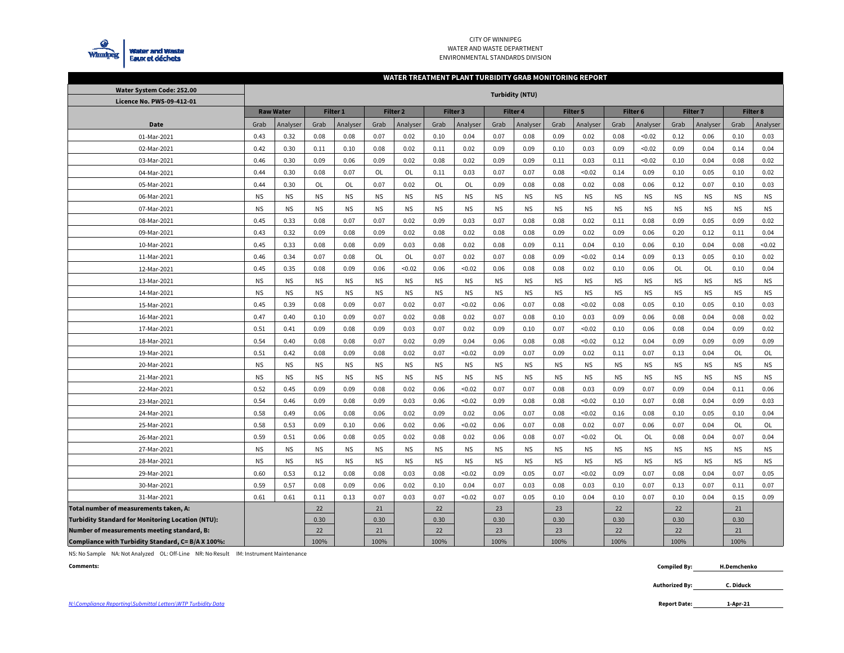

#### CITY OF WINNIPEG WATER AND WASTE DEPARTMENTENVIRONMENTAL STANDARDS DIVISION

#### **WATER TREATMENT PLANT TURBIDITY GRAB MONITORING REPORT**

| Water System Code: 252.00                                | <b>Turbidity (NTU)</b> |                  |           |           |           |                     |           |           |           |           |           |           |                     |           |                     |           |           |           |
|----------------------------------------------------------|------------------------|------------------|-----------|-----------|-----------|---------------------|-----------|-----------|-----------|-----------|-----------|-----------|---------------------|-----------|---------------------|-----------|-----------|-----------|
| Licence No. PWS-09-412-01                                |                        |                  |           |           |           |                     |           |           |           |           |           |           |                     |           |                     |           |           |           |
|                                                          |                        | <b>Raw Water</b> |           | Filter 1  |           | Filter <sub>2</sub> |           | Filter 3  | Filter 4  |           |           | Filter 5  | Filter <sub>6</sub> |           | Filter <sub>7</sub> |           | Filter 8  |           |
| Date                                                     | Grab                   | Analyser         | Grab      | Analyser  | Grab      | Analyser            | Grab      | Analyser  | Grab      | Analyser  | Grab      | Analyser  | Grab                | Analyser  | Grab                | Analyser  | Grab      | Analyser  |
| 01-Mar-2021                                              | 0.43                   | 0.32             | 0.08      | 0.08      | 0.07      | 0.02                | 0.10      | 0.04      | 0.07      | 0.08      | 0.09      | 0.02      | 0.08                | < 0.02    | 0.12                | 0.06      | 0.10      | 0.03      |
| 02-Mar-2021                                              | 0.42                   | 0.30             | 0.11      | 0.10      | 0.08      | 0.02                | 0.11      | 0.02      | 0.09      | 0.09      | 0.10      | 0.03      | 0.09                | < 0.02    | 0.09                | 0.04      | 0.14      | 0.04      |
| 03-Mar-2021                                              | 0.46                   | 0.30             | 0.09      | 0.06      | 0.09      | 0.02                | 0.08      | 0.02      | 0.09      | 0.09      | 0.11      | 0.03      | 0.11                | < 0.02    | 0.10                | 0.04      | 0.08      | 0.02      |
| 04-Mar-2021                                              | 0.44                   | 0.30             | 0.08      | 0.07      | OL        | OL                  | 0.11      | 0.03      | 0.07      | 0.07      | 0.08      | < 0.02    | 0.14                | 0.09      | 0.10                | 0.05      | 0.10      | 0.02      |
| 05-Mar-2021                                              | 0.44                   | 0.30             | OL        | OL        | 0.07      | 0.02                | OL        | OL        | 0.09      | 0.08      | 0.08      | 0.02      | 0.08                | 0.06      | 0.12                | 0.07      | 0.10      | 0.03      |
| 06-Mar-2021                                              | <b>NS</b>              | <b>NS</b>        | <b>NS</b> | <b>NS</b> | <b>NS</b> | <b>NS</b>           | <b>NS</b> | <b>NS</b> | <b>NS</b> | <b>NS</b> | <b>NS</b> | <b>NS</b> | <b>NS</b>           | <b>NS</b> | <b>NS</b>           | <b>NS</b> | <b>NS</b> | <b>NS</b> |
| 07-Mar-2021                                              | <b>NS</b>              | <b>NS</b>        | <b>NS</b> | <b>NS</b> | <b>NS</b> | <b>NS</b>           | <b>NS</b> | <b>NS</b> | <b>NS</b> | <b>NS</b> | <b>NS</b> | <b>NS</b> | <b>NS</b>           | <b>NS</b> | <b>NS</b>           | <b>NS</b> | <b>NS</b> | <b>NS</b> |
| 08-Mar-2021                                              | 0.45                   | 0.33             | 0.08      | 0.07      | 0.07      | 0.02                | 0.09      | 0.03      | 0.07      | 0.08      | 0.08      | 0.02      | 0.11                | 0.08      | 0.09                | 0.05      | 0.09      | 0.02      |
| 09-Mar-2021                                              | 0.43                   | 0.32             | 0.09      | 0.08      | 0.09      | 0.02                | 0.08      | 0.02      | 0.08      | 0.08      | 0.09      | 0.02      | 0.09                | 0.06      | 0.20                | 0.12      | 0.11      | 0.04      |
| 10-Mar-2021                                              | 0.45                   | 0.33             | 0.08      | 0.08      | 0.09      | 0.03                | 0.08      | 0.02      | 0.08      | 0.09      | 0.11      | 0.04      | 0.10                | 0.06      | 0.10                | 0.04      | 0.08      | < 0.02    |
| 11-Mar-2021                                              | 0.46                   | 0.34             | 0.07      | 0.08      | OL        | <b>OL</b>           | 0.07      | 0.02      | 0.07      | 0.08      | 0.09      | < 0.02    | 0.14                | 0.09      | 0.13                | 0.05      | 0.10      | 0.02      |
| 12-Mar-2021                                              | 0.45                   | 0.35             | 0.08      | 0.09      | 0.06      | < 0.02              | 0.06      | < 0.02    | 0.06      | 0.08      | 0.08      | 0.02      | 0.10                | 0.06      | OL                  | 0L        | 0.10      | 0.04      |
| 13-Mar-2021                                              | <b>NS</b>              | <b>NS</b>        | <b>NS</b> | <b>NS</b> | <b>NS</b> | <b>NS</b>           | <b>NS</b> | <b>NS</b> | <b>NS</b> | <b>NS</b> | <b>NS</b> | <b>NS</b> | <b>NS</b>           | <b>NS</b> | <b>NS</b>           | <b>NS</b> | <b>NS</b> | <b>NS</b> |
| 14-Mar-2021                                              | <b>NS</b>              | <b>NS</b>        | <b>NS</b> | <b>NS</b> | <b>NS</b> | <b>NS</b>           | <b>NS</b> | <b>NS</b> | <b>NS</b> | <b>NS</b> | <b>NS</b> | <b>NS</b> | <b>NS</b>           | <b>NS</b> | <b>NS</b>           | <b>NS</b> | <b>NS</b> | <b>NS</b> |
| 15-Mar-2021                                              | 0.45                   | 0.39             | 0.08      | 0.09      | 0.07      | 0.02                | 0.07      | < 0.02    | 0.06      | 0.07      | 0.08      | < 0.02    | 0.08                | 0.05      | 0.10                | 0.05      | 0.10      | 0.03      |
| 16-Mar-2021                                              | 0.47                   | 0.40             | 0.10      | 0.09      | 0.07      | 0.02                | 0.08      | 0.02      | 0.07      | 0.08      | 0.10      | 0.03      | 0.09                | 0.06      | 0.08                | 0.04      | 0.08      | 0.02      |
| 17-Mar-2021                                              | 0.51                   | 0.41             | 0.09      | 0.08      | 0.09      | 0.03                | 0.07      | 0.02      | 0.09      | 0.10      | 0.07      | < 0.02    | 0.10                | 0.06      | 0.08                | 0.04      | 0.09      | 0.02      |
| 18-Mar-2021                                              | 0.54                   | 0.40             | 0.08      | 0.08      | 0.07      | 0.02                | 0.09      | 0.04      | 0.06      | 0.08      | 0.08      | < 0.02    | 0.12                | 0.04      | 0.09                | 0.09      | 0.09      | 0.09      |
| 19-Mar-2021                                              | 0.51                   | 0.42             | 0.08      | 0.09      | 0.08      | 0.02                | 0.07      | < 0.02    | 0.09      | 0.07      | 0.09      | 0.02      | 0.11                | 0.07      | 0.13                | 0.04      | OL        | OL        |
| 20-Mar-2021                                              | <b>NS</b>              | <b>NS</b>        | <b>NS</b> | <b>NS</b> | <b>NS</b> | <b>NS</b>           | <b>NS</b> | <b>NS</b> | <b>NS</b> | <b>NS</b> | <b>NS</b> | <b>NS</b> | <b>NS</b>           | <b>NS</b> | <b>NS</b>           | <b>NS</b> | <b>NS</b> | <b>NS</b> |
| 21-Mar-2021                                              | <b>NS</b>              | <b>NS</b>        | <b>NS</b> | <b>NS</b> | <b>NS</b> | <b>NS</b>           | <b>NS</b> | <b>NS</b> | <b>NS</b> | <b>NS</b> | <b>NS</b> | <b>NS</b> | <b>NS</b>           | <b>NS</b> | <b>NS</b>           | <b>NS</b> | <b>NS</b> | <b>NS</b> |
| 22-Mar-2021                                              | 0.52                   | 0.45             | 0.09      | 0.09      | 0.08      | 0.02                | 0.06      | < 0.02    | 0.07      | 0.07      | 0.08      | 0.03      | 0.09                | 0.07      | 0.09                | 0.04      | 0.11      | 0.06      |
| 23-Mar-2021                                              | 0.54                   | 0.46             | 0.09      | 0.08      | 0.09      | 0.03                | 0.06      | < 0.02    | 0.09      | 0.08      | 0.08      | < 0.02    | 0.10                | 0.07      | 0.08                | 0.04      | 0.09      | 0.03      |
| 24-Mar-2021                                              | 0.58                   | 0.49             | 0.06      | 0.08      | 0.06      | 0.02                | 0.09      | 0.02      | 0.06      | 0.07      | 0.08      | < 0.02    | 0.16                | 0.08      | 0.10                | 0.05      | 0.10      | 0.04      |
| 25-Mar-2021                                              | 0.58                   | 0.53             | 0.09      | 0.10      | 0.06      | 0.02                | 0.06      | < 0.02    | 0.06      | 0.07      | 0.08      | 0.02      | 0.07                | 0.06      | 0.07                | 0.04      | OL        | OL        |
| 26-Mar-2021                                              | 0.59                   | 0.51             | 0.06      | 0.08      | 0.05      | 0.02                | 0.08      | 0.02      | 0.06      | 0.08      | 0.07      | < 0.02    | <b>OL</b>           | <b>OL</b> | 0.08                | 0.04      | 0.07      | 0.04      |
| 27-Mar-2021                                              | <b>NS</b>              | <b>NS</b>        | <b>NS</b> | <b>NS</b> | <b>NS</b> | <b>NS</b>           | <b>NS</b> | <b>NS</b> | <b>NS</b> | <b>NS</b> | <b>NS</b> | <b>NS</b> | <b>NS</b>           | <b>NS</b> | <b>NS</b>           | <b>NS</b> | <b>NS</b> | <b>NS</b> |
| 28-Mar-2021                                              | <b>NS</b>              | <b>NS</b>        | <b>NS</b> | <b>NS</b> | <b>NS</b> | <b>NS</b>           | <b>NS</b> | <b>NS</b> | <b>NS</b> | <b>NS</b> | <b>NS</b> | <b>NS</b> | <b>NS</b>           | <b>NS</b> | <b>NS</b>           | <b>NS</b> | <b>NS</b> | <b>NS</b> |
| 29-Mar-2021                                              | 0.60                   | 0.53             | 0.12      | 0.08      | 0.08      | 0.03                | 0.08      | < 0.02    | 0.09      | 0.05      | 0.07      | < 0.02    | 0.09                | 0.07      | 0.08                | 0.04      | 0.07      | 0.05      |
| 30-Mar-2021                                              | 0.59                   | 0.57             | 0.08      | 0.09      | 0.06      | 0.02                | 0.10      | 0.04      | 0.07      | 0.03      | 0.08      | 0.03      | 0.10                | 0.07      | 0.13                | 0.07      | 0.11      | 0.07      |
| 31-Mar-2021                                              | 0.61                   | 0.61             | 0.11      | 0.13      | 0.07      | 0.03                | 0.07      | < 0.02    | 0.07      | 0.05      | 0.10      | 0.04      | 0.10                | 0.07      | 0.10                | 0.04      | 0.15      | 0.09      |
| Total number of measurements taken, A:                   |                        |                  | 22        |           | 21        |                     | 22        |           | 23        |           | 23        |           | 22                  |           | 22                  |           | 21        |           |
| <b>Turbidity Standard for Monitoring Location (NTU):</b> |                        |                  | 0.30      |           | 0.30      |                     | 0.30      |           | 0.30      |           | 0.30      |           | 0.30                |           | 0.30                |           | 0.30      |           |
| Number of measurements meeting standard, B:              |                        |                  | 22        |           | 21        |                     | 22        |           | 23        |           | 23        |           | 22                  |           | 22                  |           | 21        |           |
| Compliance with Turbidity Standard, C= B/A X 100%:       |                        |                  | 100%      |           | 100%      |                     | 100%      |           | 100%      |           | 100%      |           | 100%                |           | 100%                |           | 100%      |           |

NS: No Sample NA: Not Analyzed OL: Off-Line NR: No Result IM: Instrument Maintenance

**Comments:**

 **Compiled By: H.Demchenko**

> **Authorized By: C. Diduck**

**1-Apr-21**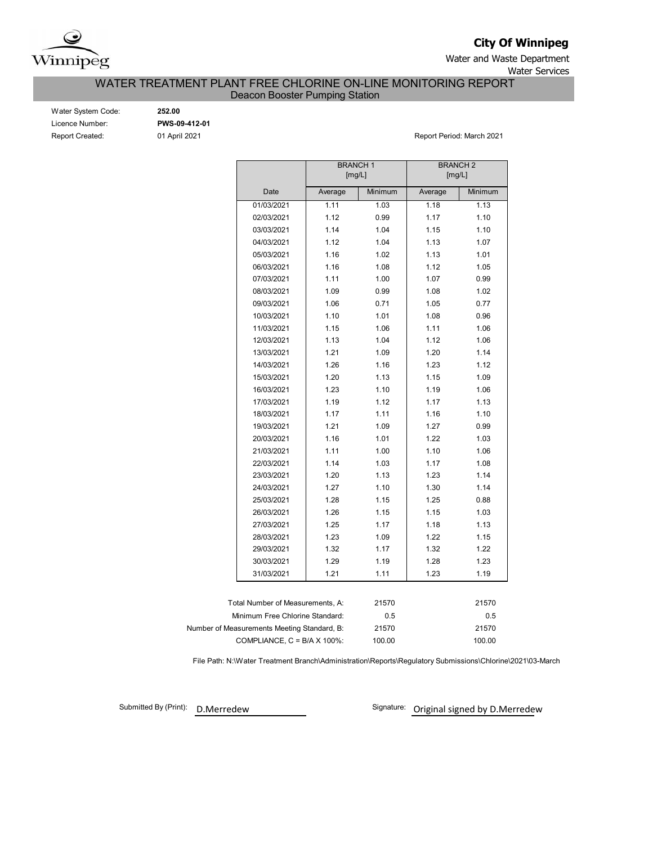

**City Of Winnipeg**

Water and Waste Department Water Services

WATER TREATMENT PLANT FREE CHLORINE ON-LINE MONITORING REPORT

Deacon Booster Pumping Station

| Water System Code:     |
|------------------------|
| Licence Number:        |
| <b>Report Created:</b> |

Water System Code: **252.00**

Licence Number: **PWS-09-412-01**

Report Created: 01 April 2021 Report Period: March 2021

|                                             | <b>BRANCH1</b> | [mg/L]  | <b>BRANCH 2</b> | [mg/L]  |
|---------------------------------------------|----------------|---------|-----------------|---------|
| Date                                        | Average        | Minimum | Average         | Minimum |
| 01/03/2021                                  | 1.11           | 1.03    | 1.18            | 1.13    |
| 02/03/2021                                  | 1.12           | 0.99    | 1.17            | 1.10    |
| 03/03/2021                                  | 1.14           | 1.04    | 1.15            | 1.10    |
| 04/03/2021                                  | 1.12           | 1.04    | 1.13            | 1.07    |
| 05/03/2021                                  | 1.16           | 1.02    | 1.13            | 1.01    |
| 06/03/2021                                  | 1.16           | 1.08    | 1.12            | 1.05    |
| 07/03/2021                                  | 1.11           | 1.00    | 1.07            | 0.99    |
| 08/03/2021                                  | 1.09           | 0.99    | 1.08            | 1.02    |
| 09/03/2021                                  | 1.06           | 0.71    | 1.05            | 0.77    |
| 10/03/2021                                  | 1.10           | 1.01    | 1.08            | 0.96    |
| 11/03/2021                                  | 1.15           | 1.06    | 1.11            | 1.06    |
| 12/03/2021                                  | 1.13           | 1.04    | 1.12            | 1.06    |
| 13/03/2021                                  | 1.21           | 1.09    | 1.20            | 1.14    |
| 14/03/2021                                  | 1.26           | 1.16    | 1.23            | 1.12    |
| 15/03/2021                                  | 1.20           | 1.13    | 1.15            | 1.09    |
| 16/03/2021                                  | 1.23           | 1.10    | 1.19            | 1.06    |
| 17/03/2021                                  | 1.19           | 1.12    | 1.17            | 1.13    |
| 18/03/2021                                  | 1.17           | 1.11    | 1.16            | 1.10    |
| 19/03/2021                                  | 1.21           | 1.09    | 1.27            | 0.99    |
| 20/03/2021                                  | 1.16           | 1.01    | 1.22            | 1.03    |
| 21/03/2021                                  | 1.11           | 1.00    | 1.10            | 1.06    |
| 22/03/2021                                  | 1.14           | 1.03    | 1.17            | 1.08    |
| 23/03/2021                                  | 1.20           | 1.13    | 1.23            | 1.14    |
| 24/03/2021                                  | 1.27           | 1.10    | 1.30            | 1.14    |
| 25/03/2021                                  | 1.28           | 1.15    | 1.25            | 0.88    |
| 26/03/2021                                  | 1.26           | 1.15    | 1.15            | 1.03    |
| 27/03/2021                                  | 1.25           | 1.17    | 1.18            | 1.13    |
| 28/03/2021                                  | 1.23           | 1.09    | 1.22            | 1.15    |
| 29/03/2021                                  | 1.32           | 1.17    | 1.32            | 1.22    |
| 30/03/2021                                  | 1.29           | 1.19    | 1.28            | 1.23    |
| 31/03/2021                                  | 1.21           | 1.11    | 1.23            | 1.19    |
|                                             |                |         |                 |         |
| Total Number of Measurements, A:            |                | 21570   |                 | 21570   |
| Minimum Free Chlorine Standard:             |                | 0.5     |                 | 0.5     |
| Number of Measurements Meeting Standard, B: |                | 21570   |                 | 21570   |
| COMPLIANCE, $C = B/A \times 100\%$ :        |                | 100.00  |                 | 100.00  |

File Path: N:\Water Treatment Branch\Administration\Reports\Regulatory Submissions\Chlorine\2021\03-March

Submitted By (Print):

D.Merredew **Communist Communist Communist Communist Communist Communist Communist Communist Communist Communist Communist Communist Communist Communist Communist Communist Communist Communist Communist Communist Communist**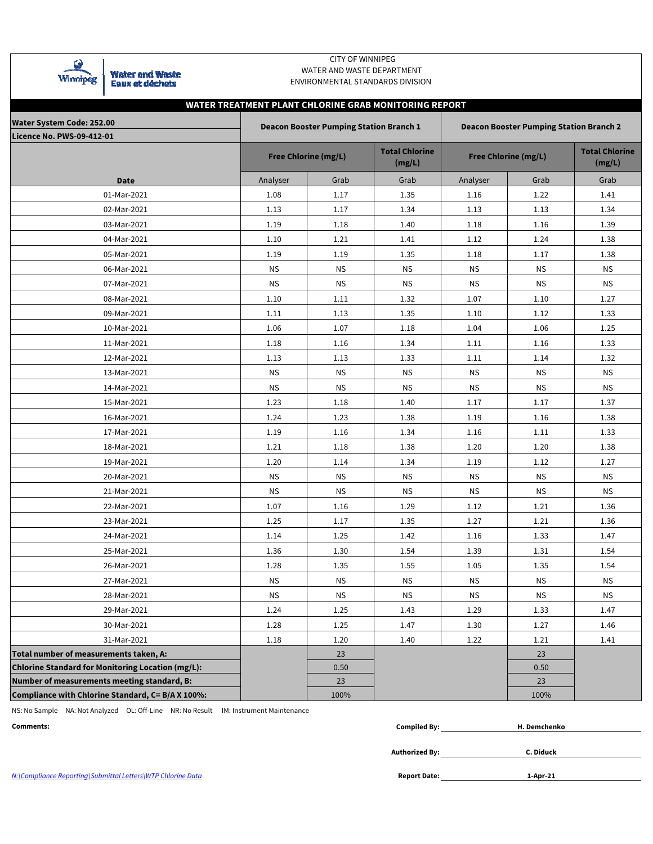

Water and Waste<br>Eaux et déchets

### CITY OF WINNIPEG WATER AND WASTE DEPARTMENT ENVIRONMENTAL STANDARDS DIVISION

# **WATER TREATMENT PLANT CHLORINE GRAB MONITORING REPORT**

| Water System Code: 252.00                                |           | <b>Deacon Booster Pumping Station Branch 1</b> |                                 | <b>Deacon Booster Pumping Station Branch 2</b> |                             |                                 |  |  |  |  |  |
|----------------------------------------------------------|-----------|------------------------------------------------|---------------------------------|------------------------------------------------|-----------------------------|---------------------------------|--|--|--|--|--|
| <b>Licence No. PWS-09-412-01</b>                         |           | <b>Free Chlorine (mg/L)</b>                    | <b>Total Chlorine</b><br>(mg/L) |                                                | <b>Free Chlorine (mg/L)</b> | <b>Total Chlorine</b><br>(mg/L) |  |  |  |  |  |
| <b>Date</b>                                              | Analyser  | Grab                                           | Grab                            | Analyser                                       | Grab                        | Grab                            |  |  |  |  |  |
| 01-Mar-2021                                              | 1.08      | 1.17                                           | 1.35                            | 1.16                                           | 1.22                        | 1.41                            |  |  |  |  |  |
| 02-Mar-2021                                              | 1.13      | 1.17                                           | 1.34                            | 1.13                                           | 1.13                        | 1.34                            |  |  |  |  |  |
| 03-Mar-2021                                              | 1.19      | 1.18                                           | 1.40                            | 1.18                                           | 1.16                        | 1.39                            |  |  |  |  |  |
| 04-Mar-2021                                              | 1.10      | 1.21                                           | 1.41                            | 1.12                                           | 1.24                        | 1.38                            |  |  |  |  |  |
| 05-Mar-2021                                              | 1.19      | 1.19                                           | 1.35                            | 1.18                                           | 1.17                        | 1.38                            |  |  |  |  |  |
| 06-Mar-2021                                              | ΝS        | <b>NS</b>                                      | <b>NS</b>                       | <b>NS</b>                                      | <b>NS</b>                   | <b>NS</b>                       |  |  |  |  |  |
| 07-Mar-2021                                              | <b>NS</b> | <b>NS</b>                                      | <b>NS</b>                       | <b>NS</b>                                      | <b>NS</b>                   | <b>NS</b>                       |  |  |  |  |  |
| 08-Mar-2021                                              | 1.10      | 1.11                                           | 1.32                            | 1.07                                           | 1.10                        | 1.27                            |  |  |  |  |  |
| 09-Mar-2021                                              | 1.11      | 1.13                                           | 1.35                            | 1.10                                           | 1.12                        | 1.33                            |  |  |  |  |  |
| 10-Mar-2021                                              | 1.06      | 1.07                                           | 1.18                            | 1.04                                           | 1.06                        | 1.25                            |  |  |  |  |  |
| 11-Mar-2021                                              | 1.18      | 1.16                                           | 1.34                            | 1.11                                           | 1.16                        | 1.33                            |  |  |  |  |  |
| 12-Mar-2021                                              | 1.13      | 1.13                                           | 1.33                            | 1.11                                           | 1.14                        | 1.32                            |  |  |  |  |  |
| 13-Mar-2021                                              | <b>NS</b> | <b>NS</b>                                      | <b>NS</b>                       | <b>NS</b>                                      | <b>NS</b>                   | <b>NS</b>                       |  |  |  |  |  |
| 14-Mar-2021                                              | <b>NS</b> | ΝS                                             | ΝS                              | <b>NS</b>                                      | <b>NS</b>                   | ΝS                              |  |  |  |  |  |
| 15-Mar-2021                                              | 1.23      | 1.18                                           | 1.40                            | 1.17                                           | 1.17                        | 1.37                            |  |  |  |  |  |
| 16-Mar-2021                                              | 1.24      | 1.23                                           | 1.38                            | 1.19                                           | 1.16                        | 1.38                            |  |  |  |  |  |
| 17-Mar-2021                                              | 1.19      | 1.16                                           | 1.34                            | 1.16                                           | 1.11                        | 1.33                            |  |  |  |  |  |
| 18-Mar-2021                                              | 1.21      | 1.18                                           | 1.38                            | 1.20                                           | 1.20                        | 1.38                            |  |  |  |  |  |
| 19-Mar-2021                                              | 1.20      | 1.14                                           | 1.34                            | 1.19                                           | 1.12                        | 1.27                            |  |  |  |  |  |
| 20-Mar-2021                                              | <b>NS</b> | <b>NS</b>                                      | <b>NS</b>                       | <b>NS</b>                                      | <b>NS</b>                   | <b>NS</b>                       |  |  |  |  |  |
| 21-Mar-2021                                              | <b>NS</b> | <b>NS</b>                                      | ΝS                              | <b>NS</b>                                      | <b>NS</b>                   | <b>NS</b>                       |  |  |  |  |  |
| 22-Mar-2021                                              | 1.07      | 1.16                                           | 1.29                            | 1.12                                           | 1.21                        | 1.36                            |  |  |  |  |  |
| 23-Mar-2021                                              | 1.25      | 1.17                                           | 1.35                            | 1.27                                           | 1.21                        | 1.36                            |  |  |  |  |  |
| 24-Mar-2021                                              | 1.14      | 1.25                                           | 1.42                            | 1.16                                           | 1.33                        | 1.47                            |  |  |  |  |  |
| 25-Mar-2021                                              | 1.36      | 1.30                                           | 1.54                            | 1.39                                           | 1.31                        | 1.54                            |  |  |  |  |  |
| 26-Mar-2021                                              | 1.28      | 1.35                                           | 1.55                            | 1.05                                           | 1.35                        | 1.54                            |  |  |  |  |  |
| 27-Mar-2021                                              | <b>NS</b> | <b>NS</b>                                      | <b>NS</b>                       | <b>NS</b>                                      | <b>NS</b>                   | <b>NS</b>                       |  |  |  |  |  |
| 28-Mar-2021                                              | <b>NS</b> | <b>NS</b>                                      | <b>NS</b>                       | <b>NS</b>                                      | <b>NS</b>                   | <b>NS</b>                       |  |  |  |  |  |
| 29-Mar-2021                                              | 1.24      | 1.25                                           | 1.43                            | 1.29                                           | 1.33                        | 1.47                            |  |  |  |  |  |
| 30-Mar-2021                                              | 1.28      | 1.25                                           | 1.47                            | 1.30                                           | 1.27                        | 1.46                            |  |  |  |  |  |
| 31-Mar-2021                                              | 1.18      | 1.20                                           | 1.40                            | 1.22                                           | 1.21                        | 1.41                            |  |  |  |  |  |
| Total number of measurements taken, A:                   |           | 23                                             |                                 |                                                | 23                          |                                 |  |  |  |  |  |
| <b>Chlorine Standard for Monitoring Location (mg/L):</b> |           | 0.50                                           |                                 |                                                | 0.50                        |                                 |  |  |  |  |  |
| Number of measurements meeting standard, B:              |           | 23                                             |                                 |                                                | 23                          |                                 |  |  |  |  |  |
| Compliance with Chlorine Standard, C= B/A X 100%:        |           | 100%                                           |                                 |                                                | 100%                        |                                 |  |  |  |  |  |

NS: No Sample NA: Not Analyzed OL: Off-Line NR: No Result IM: Instrument Maintenance

| Comments: | $\cdots$<br><b>Compiled By</b> | henko<br>в.<br><br> |  |
|-----------|--------------------------------|---------------------|--|
|           |                                |                     |  |

**Authorized By:**

**C. Diduck**

**1-Apr-21**